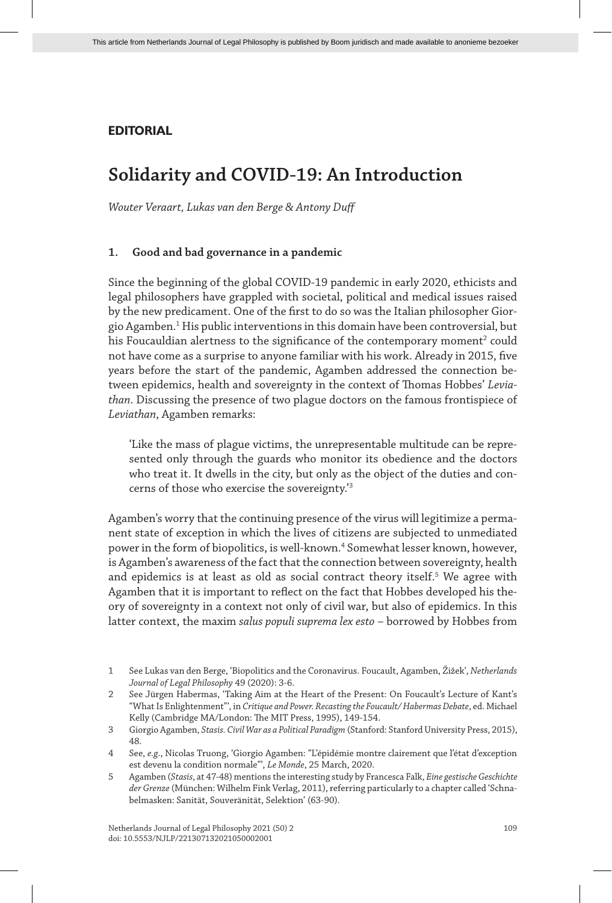## **EDITORIAL**

# **Solidarity and COVID-19: An Introduction**

*Wouter Veraart, Lukas van den Berge & Antony Duff*

#### **1. Good and bad governance in a pandemic**

Since the beginning of the global COVID-19 pandemic in early 2020, ethicists and legal philosophers have grappled with societal, political and medical issues raised by the new predicament. One of the first to do so was the Italian philosopher Giorgio Agamben.<sup>1</sup> His public interventions in this domain have been controversial, but his Foucauldian alertness to the significance of the contemporary moment $^{\rm 2}$  could not have come as a surprise to anyone familiar with his work. Already in 2015, five years before the start of the pandemic, Agamben addressed the connection between epidemics, health and sovereignty in the context of Thomas Hobbes' *Leviathan*. Discussing the presence of two plague doctors on the famous frontispiece of *Leviathan*, Agamben remarks:

'Like the mass of plague victims, the unrepresentable multitude can be represented only through the guards who monitor its obedience and the doctors who treat it. It dwells in the city, but only as the object of the duties and concerns of those who exercise the sovereignty.'3

Agamben's worry that the continuing presence of the virus will legitimize a permanent state of exception in which the lives of citizens are subjected to unmediated power in the form of biopolitics, is well-known.<sup>4</sup> Somewhat lesser known, however, is Agamben's awareness of the fact that the connection between sovereignty, health and epidemics is at least as old as social contract theory itself. $^{\mathrm{5}}$  We agree with Agamben that it is important to reflect on the fact that Hobbes developed his theory of sovereignty in a context not only of civil war, but also of epidemics. In this latter context, the maxim *salus populi suprema lex esto* – borrowed by Hobbes from

<sup>1</sup> See Lukas van den Berge, 'Biopolitics and the Coronavirus. Foucault, Agamben, Žižek', *Netherlands Journal of Legal Philosophy* 49 (2020): 3-6.

<sup>2</sup> See Jürgen Habermas, 'Taking Aim at the Heart of the Present: On Foucault's Lecture of Kant's "What Is Enlightenment"', in *Critique and Power. Recasting the Foucault/ Habermas Debate*, ed. Michael Kelly (Cambridge MA/London: The MIT Press, 1995), 149-154.

<sup>3</sup> Giorgio Agamben, *Stasis. Civil War as a Political Paradigm* (Stanford: Stanford University Press, 2015), 48.

<sup>4</sup> See, *e.g*., Nicolas Truong, 'Giorgio Agamben: "L'épidémie montre clairement que l'état d'exception est devenu la condition normale"', *Le Monde*, 25 March, 2020.

<sup>5</sup> Agamben (*Stasis*, at 47-48) mentions the interesting study by Francesca Falk, *Eine gestische Geschichte der Grenze* (München: Wilhelm Fink Verlag, 2011), referring particularly to a chapter called 'Schnabelmasken: Sanität, Souveränität, Selektion' (63-90).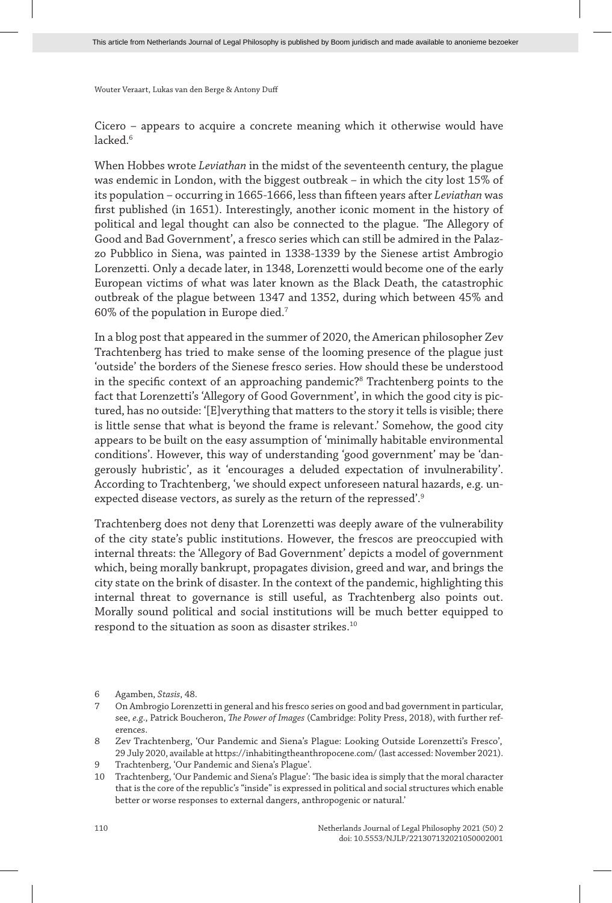Cicero – appears to acquire a concrete meaning which it otherwise would have  $l$ acked $6$ 

When Hobbes wrote *Leviathan* in the midst of the seventeenth century, the plague was endemic in London, with the biggest outbreak – in which the city lost 15% of its population – occurring in 1665-1666, less than fifteen years after *Leviathan* was first published (in 1651). Interestingly, another iconic moment in the history of political and legal thought can also be connected to the plague. 'The Allegory of Good and Bad Government', a fresco series which can still be admired in the Palazzo Pubblico in Siena, was painted in 1338-1339 by the Sienese artist Ambrogio Lorenzetti. Only a decade later, in 1348, Lorenzetti would become one of the early European victims of what was later known as the Black Death, the catastrophic outbreak of the plague between 1347 and 1352, during which between 45% and 60% of the population in Europe died.7

In a blog post that appeared in the summer of 2020, the American philosopher Zev Trachtenberg has tried to make sense of the looming presence of the plague just 'outside' the borders of the Sienese fresco series. How should these be understood in the specific context of an approaching pandemic?<sup>8</sup> Trachtenberg points to the fact that Lorenzetti's 'Allegory of Good Government', in which the good city is pictured, has no outside: '[E]verything that matters to the story it tells is visible; there is little sense that what is beyond the frame is relevant.' Somehow, the good city appears to be built on the easy assumption of 'minimally habitable environmental conditions'. However, this way of understanding 'good government' may be 'dangerously hubristic', as it 'encourages a deluded expectation of invulnerability'. According to Trachtenberg, 'we should expect unforeseen natural hazards, e.g. unexpected disease vectors, as surely as the return of the repressed'.<sup>9</sup>

Trachtenberg does not deny that Lorenzetti was deeply aware of the vulnerability of the city state's public institutions. However, the frescos are preoccupied with internal threats: the 'Allegory of Bad Government' depicts a model of government which, being morally bankrupt, propagates division, greed and war, and brings the city state on the brink of disaster. In the context of the pandemic, highlighting this internal threat to governance is still useful, as Trachtenberg also points out. Morally sound political and social institutions will be much better equipped to respond to the situation as soon as disaster strikes.<sup>10</sup>

6 Agamben, *Stasis*, 48.

9 Trachtenberg, 'Our Pandemic and Siena's Plague'.

<sup>7</sup> On Ambrogio Lorenzetti in general and his fresco series on good and bad government in particular, see, *e.g*., Patrick Boucheron, *The Power of Images* (Cambridge: Polity Press, 2018), with further references.

<sup>8</sup> Zev Trachtenberg, 'Our Pandemic and Siena's Plague: Looking Outside Lorenzetti's Fresco', 29 July 2020, available at https://inhabitingtheanthropocene.com/ (last accessed: November 2021).

<sup>10</sup> Trachtenberg, 'Our Pandemic and Siena's Plague': 'The basic idea is simply that the moral character that is the core of the republic's "inside" is expressed in political and social structures which enable better or worse responses to external dangers, anthropogenic or natural.'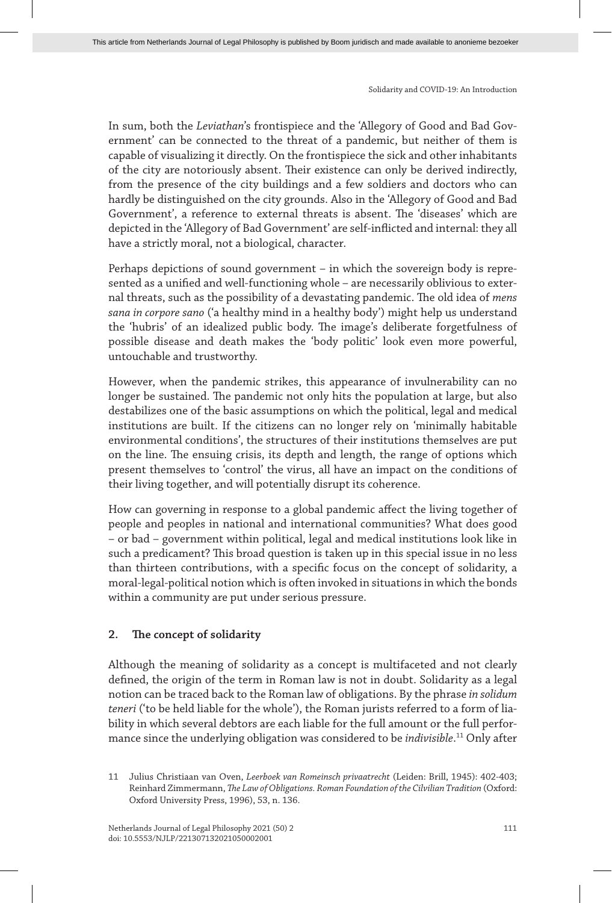In sum, both the *Leviathan*'s frontispiece and the 'Allegory of Good and Bad Government' can be connected to the threat of a pandemic, but neither of them is capable of visualizing it directly. On the frontispiece the sick and other inhabitants of the city are notoriously absent. Their existence can only be derived indirectly, from the presence of the city buildings and a few soldiers and doctors who can hardly be distinguished on the city grounds. Also in the 'Allegory of Good and Bad Government', a reference to external threats is absent. The 'diseases' which are depicted in the 'Allegory of Bad Government' are self-inflicted and internal: they all have a strictly moral, not a biological, character.

Perhaps depictions of sound government – in which the sovereign body is represented as a unified and well-functioning whole – are necessarily oblivious to external threats, such as the possibility of a devastating pandemic. The old idea of *mens sana in corpore sano* ('a healthy mind in a healthy body') might help us understand the 'hubris' of an idealized public body. The image's deliberate forgetfulness of possible disease and death makes the 'body politic' look even more powerful, untouchable and trustworthy.

However, when the pandemic strikes, this appearance of invulnerability can no longer be sustained. The pandemic not only hits the population at large, but also destabilizes one of the basic assumptions on which the political, legal and medical institutions are built. If the citizens can no longer rely on 'minimally habitable environmental conditions', the structures of their institutions themselves are put on the line. The ensuing crisis, its depth and length, the range of options which present themselves to 'control' the virus, all have an impact on the conditions of their living together, and will potentially disrupt its coherence.

How can governing in response to a global pandemic affect the living together of people and peoples in national and international communities? What does good – or bad – government within political, legal and medical institutions look like in such a predicament? This broad question is taken up in this special issue in no less than thirteen contributions, with a specific focus on the concept of solidarity, a moral-legal-political notion which is often invoked in situations in which the bonds within a community are put under serious pressure.

### **2. The concept of solidarity**

Although the meaning of solidarity as a concept is multifaceted and not clearly defined, the origin of the term in Roman law is not in doubt. Solidarity as a legal notion can be traced back to the Roman law of obligations. By the phrase *in solidum teneri* ('to be held liable for the whole'), the Roman jurists referred to a form of liability in which several debtors are each liable for the full amount or the full performance since the underlying obligation was considered to be *indivisible*. 11 Only after

<sup>11</sup> Julius Christiaan van Oven, *Leerboek van Romeinsch privaatrecht* (Leiden: Brill, 1945): 402-403; Reinhard Zimmermann, *The Law of Obligations. Roman Foundation of the Cilvilian Tradition* (Oxford: Oxford University Press, 1996), 53, n. 136.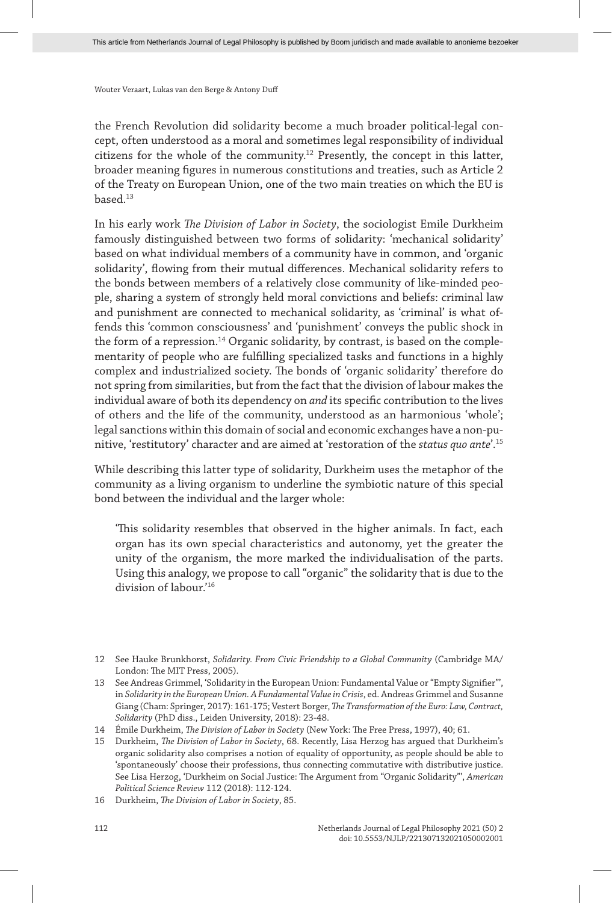the French Revolution did solidarity become a much broader political-legal concept, often understood as a moral and sometimes legal responsibility of individual citizens for the whole of the community.12 Presently, the concept in this latter, broader meaning figures in numerous constitutions and treaties, such as Article 2 of the Treaty on European Union, one of the two main treaties on which the EU is based.13

In his early work *The Division of Labor in Society*, the sociologist Emile Durkheim famously distinguished between two forms of solidarity: 'mechanical solidarity' based on what individual members of a community have in common, and 'organic solidarity', flowing from their mutual differences. Mechanical solidarity refers to the bonds between members of a relatively close community of like-minded people, sharing a system of strongly held moral convictions and beliefs: criminal law and punishment are connected to mechanical solidarity, as 'criminal' is what offends this 'common consciousness' and 'punishment' conveys the public shock in the form of a repression.<sup>14</sup> Organic solidarity, by contrast, is based on the complementarity of people who are fulfilling specialized tasks and functions in a highly complex and industrialized society. The bonds of 'organic solidarity' therefore do not spring from similarities, but from the fact that the division of labour makes the individual aware of both its dependency on *and* its specific contribution to the lives of others and the life of the community, understood as an harmonious 'whole'; legal sanctions within this domain of social and economic exchanges have a non-punitive, 'restitutory' character and are aimed at 'restoration of the *status quo ante*'.15

While describing this latter type of solidarity, Durkheim uses the metaphor of the community as a living organism to underline the symbiotic nature of this special bond between the individual and the larger whole:

'This solidarity resembles that observed in the higher animals. In fact, each organ has its own special characteristics and autonomy, yet the greater the unity of the organism, the more marked the individualisation of the parts. Using this analogy, we propose to call "organic" the solidarity that is due to the division of labour.'16

<sup>12</sup> See Hauke Brunkhorst, *Solidarity. From Civic Friendship to a Global Community* (Cambridge MA/ London: The MIT Press, 2005).

<sup>13</sup> See Andreas Grimmel, 'Solidarity in the European Union: Fundamental Value or "Empty Signifier"', in *Solidarity in the European Union. A Fundamental Value in Crisis*, ed. Andreas Grimmel and Susanne Giang (Cham: Springer, 2017): 161-175; Vestert Borger, *The Transformation of the Euro: Law, Contract, Solidarity* (PhD diss., Leiden University, 2018): 23-48.

<sup>14</sup> Émile Durkheim, *The Division of Labor in Society* (New York: The Free Press, 1997), 40; 61.

<sup>15</sup> Durkheim, *The Division of Labor in Society*, 68. Recently, Lisa Herzog has argued that Durkheim's organic solidarity also comprises a notion of equality of opportunity, as people should be able to 'spontaneously' choose their professions, thus connecting commutative with distributive justice. See Lisa Herzog, 'Durkheim on Social Justice: The Argument from "Organic Solidarity"', *American Political Science Review* 112 (2018): 112-124.

<sup>16</sup> Durkheim, *The Division of Labor in Society*, 85.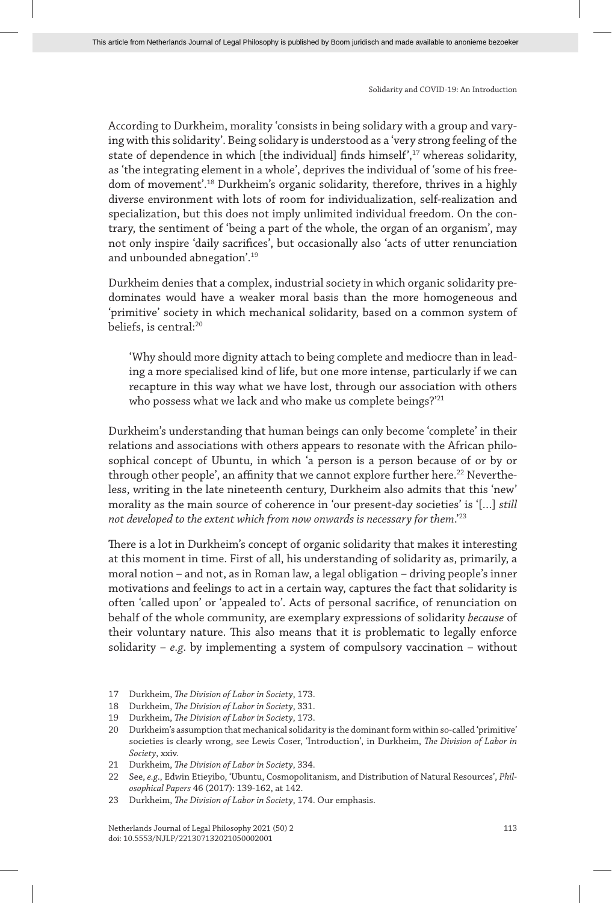According to Durkheim, morality 'consists in being solidary with a group and varying with this solidarity'. Being solidary is understood as a 'very strong feeling of the state of dependence in which [the individual] finds himself',<sup>17</sup> whereas solidarity, as 'the integrating element in a whole', deprives the individual of 'some of his freedom of movement'.18 Durkheim's organic solidarity, therefore, thrives in a highly diverse environment with lots of room for individualization, self-realization and specialization, but this does not imply unlimited individual freedom. On the contrary, the sentiment of 'being a part of the whole, the organ of an organism', may not only inspire 'daily sacrifices', but occasionally also 'acts of utter renunciation and unbounded abnegation'.19

Durkheim denies that a complex, industrial society in which organic solidarity predominates would have a weaker moral basis than the more homogeneous and 'primitive' society in which mechanical solidarity, based on a common system of beliefs, is central:<sup>20</sup>

'Why should more dignity attach to being complete and mediocre than in leading a more specialised kind of life, but one more intense, particularly if we can recapture in this way what we have lost, through our association with others who possess what we lack and who make us complete beings?'<sup>21</sup>

Durkheim's understanding that human beings can only become 'complete' in their relations and associations with others appears to resonate with the African philosophical concept of Ubuntu, in which 'a person is a person because of or by or through other people', an affinity that we cannot explore further here.<sup>22</sup> Nevertheless, writing in the late nineteenth century, Durkheim also admits that this 'new' morality as the main source of coherence in 'our present-day societies' is '[…] *still not developed to the extent which from now onwards is necessary for them*.'23

There is a lot in Durkheim's concept of organic solidarity that makes it interesting at this moment in time. First of all, his understanding of solidarity as, primarily, a moral notion – and not, as in Roman law, a legal obligation – driving people's inner motivations and feelings to act in a certain way, captures the fact that solidarity is often 'called upon' or 'appealed to'. Acts of personal sacrifice, of renunciation on behalf of the whole community, are exemplary expressions of solidarity *because* of their voluntary nature. This also means that it is problematic to legally enforce solidarity – *e.g*. by implementing a system of compulsory vaccination – without

- 17 Durkheim, *The Division of Labor in Society*, 173.
- 18 Durkheim, *The Division of Labor in Society*, 331.
- 19 Durkheim, *The Division of Labor in Society*, 173.
- 20 Durkheim's assumption that mechanical solidarity is the dominant form within so-called 'primitive' societies is clearly wrong, see Lewis Coser, 'Introduction', in Durkheim, *The Division of Labor in Society*, xxiv.
- 21 Durkheim, *The Division of Labor in Society*, 334.
- 22 See, *e.g*., Edwin Etieyibo, 'Ubuntu, Cosmopolitanism, and Distribution of Natural Resources', *Philosophical Papers* 46 (2017): 139-162, at 142.
- 23 Durkheim, *The Division of Labor in Society*, 174. Our emphasis.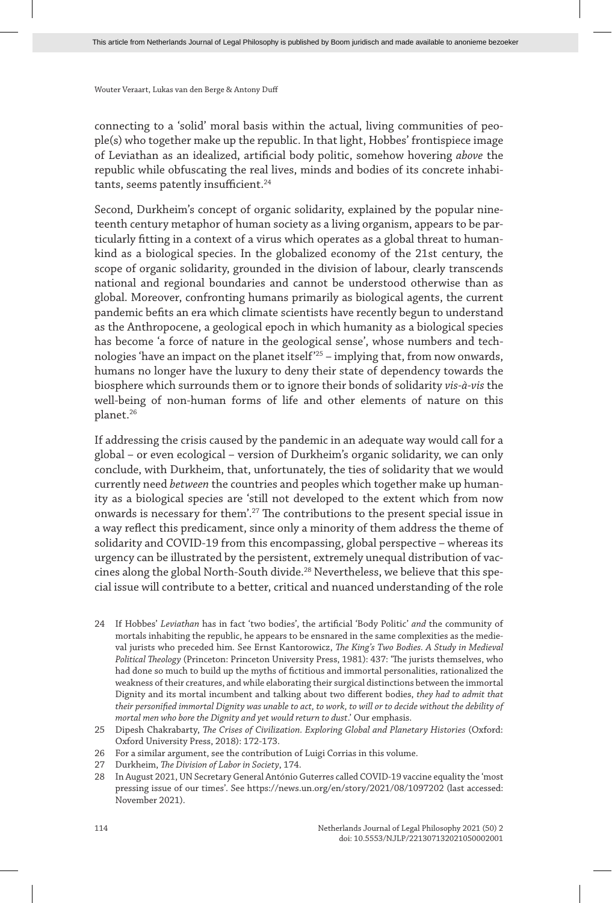connecting to a 'solid' moral basis within the actual, living communities of people(s) who together make up the republic. In that light, Hobbes' frontispiece image of Leviathan as an idealized, artificial body politic, somehow hovering *above* the republic while obfuscating the real lives, minds and bodies of its concrete inhabitants, seems patently insufficient.<sup>24</sup>

Second, Durkheim's concept of organic solidarity, explained by the popular nineteenth century metaphor of human society as a living organism, appears to be particularly fitting in a context of a virus which operates as a global threat to humankind as a biological species. In the globalized economy of the 21st century, the scope of organic solidarity, grounded in the division of labour, clearly transcends national and regional boundaries and cannot be understood otherwise than as global. Moreover, confronting humans primarily as biological agents, the current pandemic befits an era which climate scientists have recently begun to understand as the Anthropocene, a geological epoch in which humanity as a biological species has become 'a force of nature in the geological sense', whose numbers and technologies 'have an impact on the planet itself'25 – implying that, from now onwards, humans no longer have the luxury to deny their state of dependency towards the biosphere which surrounds them or to ignore their bonds of solidarity *vis-à-vis* the well-being of non-human forms of life and other elements of nature on this planet.<sup>26</sup>

If addressing the crisis caused by the pandemic in an adequate way would call for a global – or even ecological – version of Durkheim's organic solidarity, we can only conclude, with Durkheim, that, unfortunately, the ties of solidarity that we would currently need *between* the countries and peoples which together make up humanity as a biological species are 'still not developed to the extent which from now onwards is necessary for them'.27 The contributions to the present special issue in a way reflect this predicament, since only a minority of them address the theme of solidarity and COVID-19 from this encompassing, global perspective – whereas its urgency can be illustrated by the persistent, extremely unequal distribution of vaccines along the global North-South divide.<sup>28</sup> Nevertheless, we believe that this special issue will contribute to a better, critical and nuanced understanding of the role

24 If Hobbes' *Leviathan* has in fact 'two bodies', the artificial 'Body Politic' *and* the community of mortals inhabiting the republic, he appears to be ensnared in the same complexities as the medieval jurists who preceded him. See Ernst Kantorowicz, *The King's Two Bodies. A Study in Medieval Political Theology* (Princeton: Princeton University Press, 1981): 437: 'The jurists themselves, who had done so much to build up the myths of fictitious and immortal personalities, rationalized the weakness of their creatures, and while elaborating their surgical distinctions between the immortal Dignity and its mortal incumbent and talking about two different bodies, *they had to admit that their personified immortal Dignity was unable to act, to work, to will or to decide without the debility of mortal men who bore the Dignity and yet would return to dust*.' Our emphasis.

- 26 For a similar argument, see the contribution of Luigi Corrias in this volume.
- 27 Durkheim, *The Division of Labor in Society*, 174.

28 In August 2021, UN Secretary General António Guterres called COVID-19 vaccine equality the 'most pressing issue of our times'. See https://news.un.org/en/story/2021/08/1097202 (last accessed: November 2021).

<sup>25</sup> Dipesh Chakrabarty, *The Crises of Civilization. Exploring Global and Planetary Histories* (Oxford: Oxford University Press, 2018): 172-173.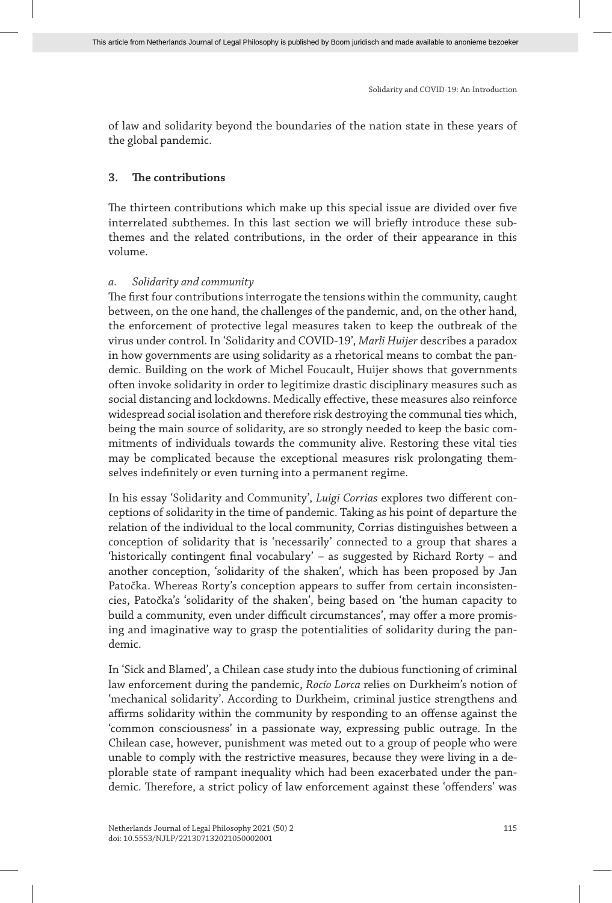of law and solidarity beyond the boundaries of the nation state in these years of the global pandemic.

#### **3. The contributions**

The thirteen contributions which make up this special issue are divided over five interrelated subthemes. In this last section we will briefly introduce these subthemes and the related contributions, in the order of their appearance in this volume.

#### *a. Solidarity and community*

The first four contributions interrogate the tensions within the community, caught between, on the one hand, the challenges of the pandemic, and, on the other hand, the enforcement of protective legal measures taken to keep the outbreak of the virus under control. In 'Solidarity and COVID-19', *Marli Huijer* describes a paradox in how governments are using solidarity as a rhetorical means to combat the pandemic. Building on the work of Michel Foucault, Huijer shows that governments often invoke solidarity in order to legitimize drastic disciplinary measures such as social distancing and lockdowns. Medically effective, these measures also reinforce widespread social isolation and therefore risk destroying the communal ties which, being the main source of solidarity, are so strongly needed to keep the basic commitments of individuals towards the community alive. Restoring these vital ties may be complicated because the exceptional measures risk prolongating themselves indefinitely or even turning into a permanent regime.

In his essay 'Solidarity and Community', *Luigi Corrias* explores two different conceptions of solidarity in the time of pandemic. Taking as his point of departure the relation of the individual to the local community, Corrias distinguishes between a conception of solidarity that is 'necessarily' connected to a group that shares a 'historically contingent final vocabulary' – as suggested by Richard Rorty – and another conception, 'solidarity of the shaken', which has been proposed by Jan Patočka. Whereas Rorty's conception appears to suffer from certain inconsistencies, Patočka's 'solidarity of the shaken', being based on 'the human capacity to build a community, even under difficult circumstances', may offer a more promising and imaginative way to grasp the potentialities of solidarity during the pandemic.

In 'Sick and Blamed', a Chilean case study into the dubious functioning of criminal law enforcement during the pandemic, *Rocío Lorca* relies on Durkheim's notion of 'mechanical solidarity'. According to Durkheim, criminal justice strengthens and affirms solidarity within the community by responding to an offense against the 'common consciousness' in a passionate way, expressing public outrage. In the Chilean case, however, punishment was meted out to a group of people who were unable to comply with the restrictive measures, because they were living in a deplorable state of rampant inequality which had been exacerbated under the pandemic. Therefore, a strict policy of law enforcement against these 'offenders' was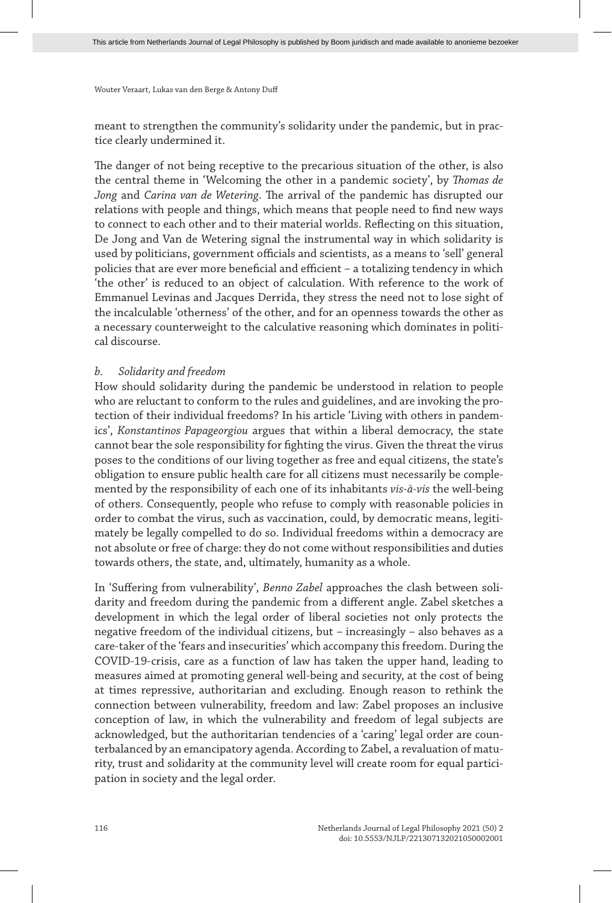meant to strengthen the community's solidarity under the pandemic, but in practice clearly undermined it.

The danger of not being receptive to the precarious situation of the other, is also the central theme in 'Welcoming the other in a pandemic society', by *Thomas de Jong* and *Carina van de Wetering*. The arrival of the pandemic has disrupted our relations with people and things, which means that people need to find new ways to connect to each other and to their material worlds. Reflecting on this situation, De Jong and Van de Wetering signal the instrumental way in which solidarity is used by politicians, government officials and scientists, as a means to 'sell' general policies that are ever more beneficial and efficient – a totalizing tendency in which 'the other' is reduced to an object of calculation. With reference to the work of Emmanuel Levinas and Jacques Derrida, they stress the need not to lose sight of the incalculable 'otherness' of the other, and for an openness towards the other as a necessary counterweight to the calculative reasoning which dominates in political discourse.

#### *b. Solidarity and freedom*

How should solidarity during the pandemic be understood in relation to people who are reluctant to conform to the rules and guidelines, and are invoking the protection of their individual freedoms? In his article 'Living with others in pandemics', *Konstantinos Papageorgiou* argues that within a liberal democracy, the state cannot bear the sole responsibility for fighting the virus. Given the threat the virus poses to the conditions of our living together as free and equal citizens, the state's obligation to ensure public health care for all citizens must necessarily be complemented by the responsibility of each one of its inhabitants *vis-à-vis* the well-being of others. Consequently, people who refuse to comply with reasonable policies in order to combat the virus, such as vaccination, could, by democratic means, legitimately be legally compelled to do so. Individual freedoms within a democracy are not absolute or free of charge: they do not come without responsibilities and duties towards others, the state, and, ultimately, humanity as a whole.

In 'Suffering from vulnerability', *Benno Zabel* approaches the clash between solidarity and freedom during the pandemic from a different angle. Zabel sketches a development in which the legal order of liberal societies not only protects the negative freedom of the individual citizens, but – increasingly – also behaves as a care-taker of the 'fears and insecurities' which accompany this freedom. During the COVID-19-crisis, care as a function of law has taken the upper hand, leading to measures aimed at promoting general well-being and security, at the cost of being at times repressive, authoritarian and excluding. Enough reason to rethink the connection between vulnerability, freedom and law: Zabel proposes an inclusive conception of law, in which the vulnerability and freedom of legal subjects are acknowledged, but the authoritarian tendencies of a 'caring' legal order are counterbalanced by an emancipatory agenda. According to Zabel, a revaluation of maturity, trust and solidarity at the community level will create room for equal participation in society and the legal order.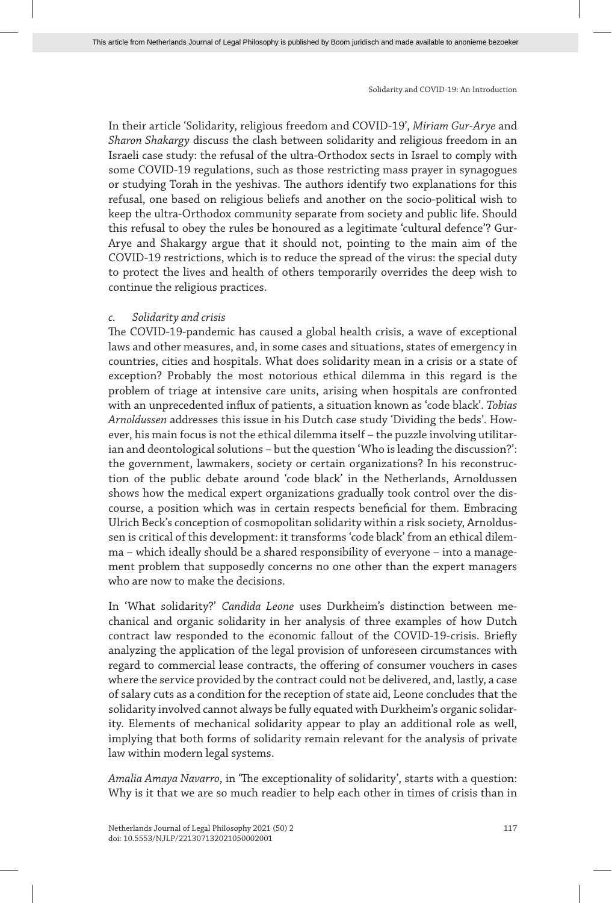In their article 'Solidarity, religious freedom and COVID-19', *Miriam Gur-Arye* and *Sharon Shakargy* discuss the clash between solidarity and religious freedom in an Israeli case study: the refusal of the ultra-Orthodox sects in Israel to comply with some COVID-19 regulations, such as those restricting mass prayer in synagogues or studying Torah in the yeshivas. The authors identify two explanations for this refusal, one based on religious beliefs and another on the socio-political wish to keep the ultra-Orthodox community separate from society and public life. Should this refusal to obey the rules be honoured as a legitimate 'cultural defence'? Gur-Arye and Shakargy argue that it should not, pointing to the main aim of the COVID-19 restrictions, which is to reduce the spread of the virus: the special duty to protect the lives and health of others temporarily overrides the deep wish to continue the religious practices.

#### *c. Solidarity and crisis*

The COVID-19-pandemic has caused a global health crisis, a wave of exceptional laws and other measures, and, in some cases and situations, states of emergency in countries, cities and hospitals. What does solidarity mean in a crisis or a state of exception? Probably the most notorious ethical dilemma in this regard is the problem of triage at intensive care units, arising when hospitals are confronted with an unprecedented influx of patients, a situation known as 'code black'. *Tobias Arnoldussen* addresses this issue in his Dutch case study 'Dividing the beds'. However, his main focus is not the ethical dilemma itself – the puzzle involving utilitarian and deontological solutions – but the question 'Who is leading the discussion?': the government, lawmakers, society or certain organizations? In his reconstruction of the public debate around 'code black' in the Netherlands, Arnoldussen shows how the medical expert organizations gradually took control over the discourse, a position which was in certain respects beneficial for them. Embracing Ulrich Beck's conception of cosmopolitan solidarity within a risk society, Arnoldussen is critical of this development: it transforms 'code black' from an ethical dilemma – which ideally should be a shared responsibility of everyone – into a management problem that supposedly concerns no one other than the expert managers who are now to make the decisions.

In 'What solidarity?' *Candida Leone* uses Durkheim's distinction between mechanical and organic solidarity in her analysis of three examples of how Dutch contract law responded to the economic fallout of the COVID-19-crisis. Briefly analyzing the application of the legal provision of unforeseen circumstances with regard to commercial lease contracts, the offering of consumer vouchers in cases where the service provided by the contract could not be delivered, and, lastly, a case of salary cuts as a condition for the reception of state aid, Leone concludes that the solidarity involved cannot always be fully equated with Durkheim's organic solidarity. Elements of mechanical solidarity appear to play an additional role as well, implying that both forms of solidarity remain relevant for the analysis of private law within modern legal systems.

*Amalia Amaya Navarro*, in 'The exceptionality of solidarity', starts with a question: Why is it that we are so much readier to help each other in times of crisis than in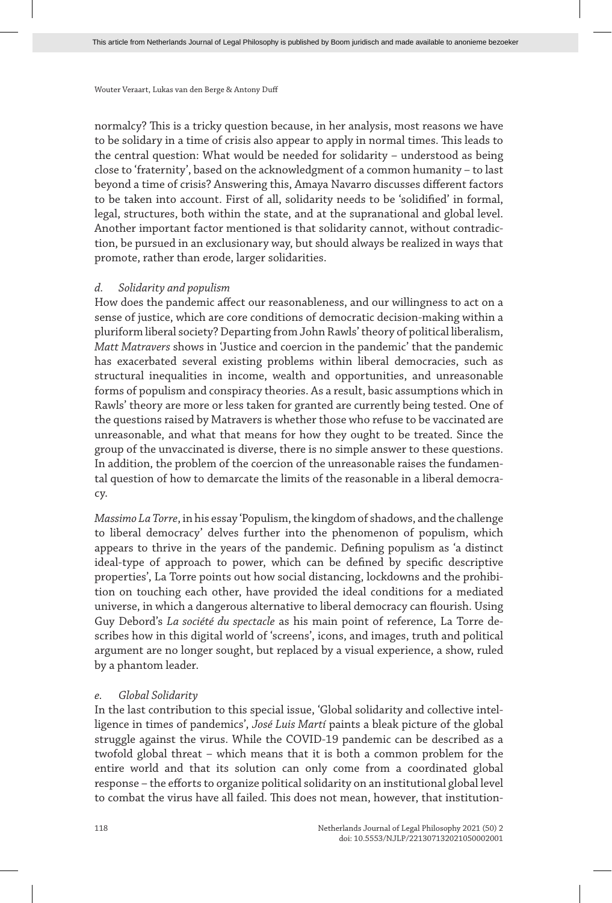normalcy? This is a tricky question because, in her analysis, most reasons we have to be solidary in a time of crisis also appear to apply in normal times. This leads to the central question: What would be needed for solidarity – understood as being close to 'fraternity', based on the acknowledgment of a common humanity – to last beyond a time of crisis? Answering this, Amaya Navarro discusses different factors to be taken into account. First of all, solidarity needs to be 'solidified' in formal, legal, structures, both within the state, and at the supranational and global level. Another important factor mentioned is that solidarity cannot, without contradiction, be pursued in an exclusionary way, but should always be realized in ways that promote, rather than erode, larger solidarities.

#### *d. Solidarity and populism*

How does the pandemic affect our reasonableness, and our willingness to act on a sense of justice, which are core conditions of democratic decision-making within a pluriform liberal society? Departing from John Rawls' theory of political liberalism, *Matt Matravers* shows in 'Justice and coercion in the pandemic' that the pandemic has exacerbated several existing problems within liberal democracies, such as structural inequalities in income, wealth and opportunities, and unreasonable forms of populism and conspiracy theories. As a result, basic assumptions which in Rawls' theory are more or less taken for granted are currently being tested. One of the questions raised by Matravers is whether those who refuse to be vaccinated are unreasonable, and what that means for how they ought to be treated. Since the group of the unvaccinated is diverse, there is no simple answer to these questions. In addition, the problem of the coercion of the unreasonable raises the fundamental question of how to demarcate the limits of the reasonable in a liberal democracy.

*Massimo La Torre*, in his essay 'Populism, the kingdom of shadows, and the challenge to liberal democracy' delves further into the phenomenon of populism, which appears to thrive in the years of the pandemic. Defining populism as 'a distinct ideal-type of approach to power, which can be defined by specific descriptive properties', La Torre points out how social distancing, lockdowns and the prohibition on touching each other, have provided the ideal conditions for a mediated universe, in which a dangerous alternative to liberal democracy can flourish. Using Guy Debord's *La société du spectacle* as his main point of reference, La Torre describes how in this digital world of 'screens', icons, and images, truth and political argument are no longer sought, but replaced by a visual experience, a show, ruled by a phantom leader.

#### *e. Global Solidarity*

In the last contribution to this special issue, 'Global solidarity and collective intelligence in times of pandemics', *José Luis Martí* paints a bleak picture of the global struggle against the virus. While the COVID-19 pandemic can be described as a twofold global threat – which means that it is both a common problem for the entire world and that its solution can only come from a coordinated global response – the efforts to organize political solidarity on an institutional global level to combat the virus have all failed. This does not mean, however, that institution-